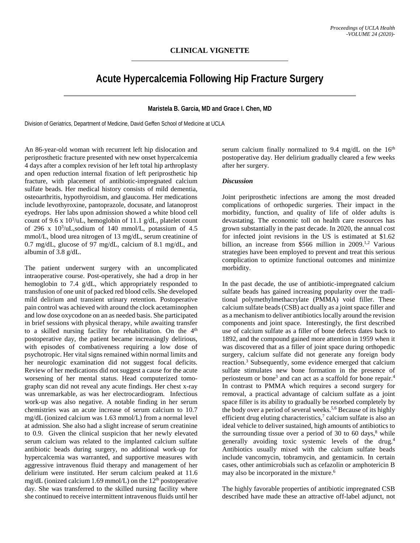# **CLINICAL VIGNETTE**

# **Acute Hypercalcemia Following Hip Fracture Surgery**

#### **Maristela B. Garcia, MD and Grace I. Chen, MD**

Division of Geriatrics, Department of Medicine, David Geffen School of Medicine at UCLA

An 86-year-old woman with recurrent left hip dislocation and periprosthetic fracture presented with new onset hypercalcemia 4 days after a complex revision of her left total hip arthroplasty and open reduction internal fixation of left periprosthetic hip fracture, with placement of antibiotic-impregnated calcium sulfate beads. Her medical history consists of mild dementia, osteoarthritis, hypothyroidism, and glaucoma. Her medications include levothyroxine, pantoprazole, docusate, and latanoprost eyedrops. Her labs upon admission showed a white blood cell count of 9.6 x  $10^3$ /uL, hemoglobin of 11.1 g/dL, platelet count of 296 x  $10^3$ /uL,sodium of 140 mmol/L, potassium of 4.5 mmol/L, blood urea nitrogen of 13 mg/dL, serum creatinine of 0.7 mg/dL, glucose of 97 mg/dL, calcium of 8.1 mg/dL, and albumin of 3.8 g/dL.

The patient underwent surgery with an uncomplicated intraoperative course. Post-operatively, she had a drop in her hemoglobin to 7.4 g/dL, which appropriately responded to transfusion of one unit of packed red blood cells. She developed mild delirium and transient urinary retention. Postoperative pain control was achieved with around the clock acetaminophen and low dose oxycodone on an as needed basis. She participated in brief sessions with physical therapy, while awaiting transfer to a skilled nursing facility for rehabilitation. On the  $4<sup>th</sup>$ postoperative day, the patient became increasingly delirious, with episodes of combativeness requiring a low dose of psychotropic. Her vital signs remained within normal limits and her neurologic examination did not suggest focal deficits. Review of her medications did not suggest a cause for the acute worsening of her mental status. Head computerized tomography scan did not reveal any acute findings. Her chest x-ray was unremarkable, as was her electrocardiogram. Infectious work-up was also negative. A notable finding in her serum chemistries was an acute increase of serum calcium to 10.7 mg/dL (ionized calcium was 1.63 mmol/L) from a normal level at admission. She also had a slight increase of serum creatinine to 0.9. Given the clinical suspicion that her newly elevated serum calcium was related to the implanted calcium sulfate antibiotic beads during surgery, no additional work-up for hypercalcemia was warranted, and supportive measures with aggressive intravenous fluid therapy and management of her delirium were instituted. Her serum calcium peaked at 11.6 mg/dL (ionized calcium 1.69 mmol/L) on the  $12<sup>th</sup>$  postoperative day. She was transferred to the skilled nursing facility where she continued to receive intermittent intravenous fluids until her

serum calcium finally normalized to 9.4 mg/dL on the  $16<sup>th</sup>$ postoperative day. Her delirium gradually cleared a few weeks after her surgery.

### *Discussion*

Joint periprosthetic infections are among the most dreaded complications of orthopedic surgeries. Their impact in the morbidity, function, and quality of life of older adults is devastating. The economic toll on health care resources has grown substantially in the past decade. In 2020, the annual cost for infected joint revisions in the US is estimated at \$1.62 billion, an increase from \$566 million in 2009.<sup>1,2</sup> Various strategies have been employed to prevent and treat this serious complication to optimize functional outcomes and minimize morbidity.

In the past decade, the use of antibiotic-impregnated calcium sulfate beads has gained increasing popularity over the traditional polymethylmethacrylate (PMMA) void filler. These calcium sulfate beads (CSB) act dually as a joint space filler and as a mechanism to deliver antibiotics locally around the revision components and joint space. Interestingly, the first described use of calcium sulfate as a filler of bone defects dates back to 1892, and the compound gained more attention in 1959 when it was discovered that as a filler of joint space during orthopedic surgery, calcium sulfate did not generate any foreign body reaction. <sup>3</sup> Subsequently, some evidence emerged that calcium sulfate stimulates new bone formation in the presence of periosteum or bone<sup>3</sup> and can act as a scaffold for bone repair.<sup>4</sup> In contrast to PMMA which requires a second surgery for removal, a practical advantage of calcium sulfate as a joint space filler is its ability to gradually be resorbed completely by the body over a period of several weeks. 5,6 Because of its highly efficient drug eluting characteristics,<sup>7</sup> calcium sulfate is also an ideal vehicle to deliver sustained, high amounts of antibiotics to the surrounding tissue over a period of 30 to 60 days, $8$  while generally avoiding toxic systemic levels of the drug.4 Antibiotics usually mixed with the calcium sulfate beads include vancomycin, tobramycin, and gentamicin. In certain cases, other antimicrobials such as cefazolin or amphotericin B may also be incorporated in the mixture. 6

The highly favorable properties of antibiotic impregnated CSB described have made these an attractive off-label adjunct, not